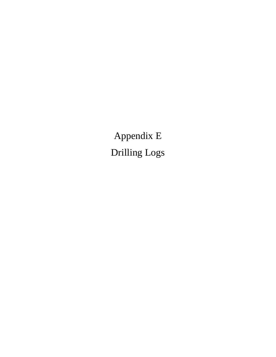Appendix E Drilling Logs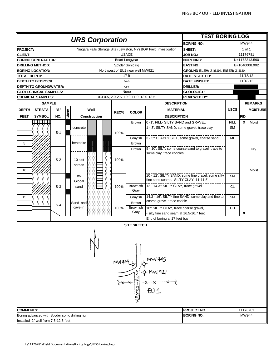|                  |                                                |       |      | <b>URS Corporation</b> |         |                                        |                                                                   | <b>TEST BORING LOG</b>                             |             |          |                 |
|------------------|------------------------------------------------|-------|------|------------------------|---------|----------------------------------------|-------------------------------------------------------------------|----------------------------------------------------|-------------|----------|-----------------|
|                  |                                                |       |      |                        |         |                                        |                                                                   | <b>BORING NO:</b>                                  |             |          | MW944           |
| <b>PROJECT:</b>  |                                                |       |      |                        |         |                                        | Niagara Falls Storage Site (Lewiston, NY) BOP Field Investigation | SHEET:                                             |             |          | 1 of 1          |
| <b>CLIENT:</b>   |                                                |       |      |                        |         | <b>USACE</b>                           |                                                                   | <b>JOB NO.:</b>                                    |             |          | 11176781        |
|                  | <b>BORING CONTRACTOR:</b>                      |       |      |                        |         | Boart Longyear                         |                                                                   | <b>NORTHING:</b>                                   |             |          | N=1173313.590   |
|                  | <b>DRILLING METHOD:</b>                        |       |      |                        |         | Spyder Sonic rig                       |                                                                   | <b>EASTING:</b>                                    |             |          | E=1040008.902   |
|                  | <b>BORING LOCATION:</b>                        |       |      |                        |         | Northwest of EU1 near well MW921       |                                                                   | GROUND ELEV: 316.04, RISER: 318.64                 |             |          |                 |
| TOTAL DEPTH:     |                                                |       |      |                        |         | 17 <sub>ft</sub>                       |                                                                   | <b>DATE STARTED:</b>                               |             |          | 11/18/12        |
|                  | <b>DEPTH TO BEDROCK:</b>                       |       |      |                        |         | N/A                                    |                                                                   | <b>DATE FINISHED:</b>                              |             |          | 11/18/12        |
|                  | <b>DEPTH TO GROUNDWATER:</b>                   |       |      |                        |         | dry                                    |                                                                   | <b>DRILLER:</b>                                    |             |          |                 |
|                  | <b>GEOTECHNICAL SAMPLES:</b>                   |       |      |                        |         | None                                   |                                                                   | <b>GEOLOGIST:</b>                                  |             |          |                 |
|                  | <b>CHEMICAL SAMPLES:</b>                       |       |      |                        |         | 0.0-0.5, 2.0-2.5, 10.0-11.0, 13.0-13.5 |                                                                   | <b>REVIEWED BY:</b>                                |             |          |                 |
|                  | <b>SAMPLE</b>                                  |       |      |                        |         |                                        | <b>DESCRIPTION</b>                                                |                                                    |             |          | <b>REMARKS</b>  |
| <b>DEPTH</b>     | <b>STRATA</b>                                  | "S"   |      | Well                   |         |                                        | <b>MATERIAL</b>                                                   |                                                    | <b>USCS</b> |          | <b>MOISTURE</b> |
|                  |                                                |       | Chem |                        | REC%    | <b>COLOR</b>                           |                                                                   |                                                    |             |          |                 |
| <b>FEET</b>      | <b>SYMBOL</b>                                  | NO.   |      | Construction           |         |                                        | <b>DESCRIPTION</b>                                                |                                                    |             | PID      |                 |
|                  | <b>HEBBELLU</b>                                |       |      |                        |         | <b>Brown</b>                           | 0 -1': FILL- SILTY SAND and GRAVEL                                |                                                    | <b>FILL</b> | $\Omega$ | Moist           |
|                  |                                                |       |      | concrete               |         |                                        | 1 - 3': SILTY SAND, some gravel, trace clay                       |                                                    | SM          |          |                 |
|                  |                                                | $S-1$ |      |                        | 100%    |                                        |                                                                   |                                                    |             |          |                 |
|                  |                                                |       |      |                        |         | Gravish                                | 3 - 5': CLAYEY SILT, some gravel, coarse sand                     |                                                    | ML          |          |                 |
| 5                |                                                |       |      | bentonite              |         | Brown                                  |                                                                   |                                                    |             |          |                 |
|                  |                                                |       |      |                        |         | <b>Brown</b>                           |                                                                   | 5 - 10: SILT, some coarse sand to gravel, trace to |             |          | Dry             |
|                  |                                                |       |      |                        |         |                                        | some clay, trace cobbles                                          |                                                    |             |          |                 |
|                  |                                                | $S-2$ |      | 10 slot                | 100%    |                                        |                                                                   |                                                    |             |          |                 |
|                  |                                                |       |      | screen                 |         |                                        |                                                                   |                                                    |             |          |                 |
| 10               |                                                |       |      |                        |         |                                        |                                                                   |                                                    |             |          | Moist           |
|                  |                                                |       |      | #5                     |         |                                        |                                                                   | 10 - 12": SILTY SAND, some fine gravel, some silty | <b>SM</b>   |          |                 |
|                  |                                                |       |      | Global                 |         |                                        | fine sand seams. SILTY CLAY 11-11.5'                              |                                                    |             |          |                 |
|                  |                                                | $S-3$ |      | sand                   | 100%    | Brownish                               | 12 - 14.3': SILTY CLAY, trace gravel                              |                                                    | <b>CL</b>   |          |                 |
|                  |                                                |       |      |                        |         | Gray                                   |                                                                   |                                                    |             |          |                 |
| 15               |                                                |       |      |                        |         | Grayish                                |                                                                   | 14.3 - 16': SILTY fine SAND, some clay and fine to | <b>SM</b>   |          |                 |
|                  |                                                | S-4   |      | Sand and               |         | <b>Brown</b>                           | coarse gravel, trace cobble                                       |                                                    |             |          |                 |
|                  |                                                |       |      | cave-in                | 100%    | <b>Brownish</b>                        | 16": SILTY CLAY, trace coarse gravel,                             |                                                    | <b>CH</b>   |          |                 |
|                  |                                                |       |      |                        |         | Gray                                   | silty fine sand seam at 16.5-16.7 feet                            |                                                    |             |          |                 |
|                  |                                                |       |      |                        |         |                                        | End of boring at 17 feet bgs                                      |                                                    |             |          |                 |
|                  |                                                |       |      |                        |         | <b>SITE SKETCH</b>                     |                                                                   |                                                    |             |          |                 |
|                  |                                                |       |      |                        | MW944-8 |                                        | MW 945<br>EU1                                                     |                                                    |             |          |                 |
| <b>COMMENTS:</b> |                                                |       |      |                        |         |                                        |                                                                   | PROJECT NO.                                        |             |          | 11176781        |
|                  | Boring advanced with Spyder sonic drilling rig |       |      |                        |         |                                        |                                                                   | <b>BORING NO.</b>                                  |             |          | MW944           |
|                  | Installed 2" well from 7.5-12.5 feet           |       |      |                        |         |                                        |                                                                   |                                                    |             |          |                 |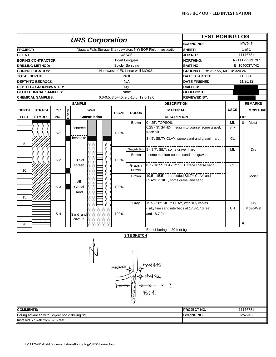|                  |                                                |       |      |                        |              |      |                                       |                                                                   | <b>TEST BORING LOG</b>                          |             |                      |
|------------------|------------------------------------------------|-------|------|------------------------|--------------|------|---------------------------------------|-------------------------------------------------------------------|-------------------------------------------------|-------------|----------------------|
|                  |                                                |       |      | <b>URS Corporation</b> |              |      |                                       |                                                                   | <b>BORING NO:</b>                               |             | MW945                |
| <b>PROJECT:</b>  |                                                |       |      |                        |              |      |                                       | Niagara Falls Storage Site (Lewiston, NY) BOP Field Investigation | SHEET:                                          |             | 1 of 1               |
| <b>CLIENT:</b>   |                                                |       |      |                        |              |      | <b>USACE</b>                          |                                                                   | JOB NO.:                                        |             | 11176781             |
|                  | <b>BORING CONTRACTOR:</b>                      |       |      |                        |              |      | Boart Longyear                        |                                                                   | <b>NORTHING:</b>                                |             | N=11173319.797       |
|                  | DRILLING METHOD:                               |       |      |                        |              |      | Spyder Sonic rig                      |                                                                   | <b>EASTING:</b>                                 |             | E=1040037.742        |
|                  | <b>BORING LOCATION:</b>                        |       |      |                        |              |      | Northwest of EU1 near well MW921      |                                                                   | GROUND ELEV: 317.55, RISER: 320.24              |             |                      |
| TOTAL DEPTH:     |                                                |       |      |                        |              |      | 20 ft                                 |                                                                   | <b>DATE STARTED:</b>                            |             | 11/20/12             |
|                  | <b>DEPTH TO BEDROCK:</b>                       |       |      |                        |              |      | N/A                                   |                                                                   | <b>DATE FINISHED:</b>                           |             | 11/20/12             |
|                  | <b>DEPTH TO GROUNDWATER:</b>                   |       |      |                        |              |      | dry                                   |                                                                   | <b>DRILLER:</b>                                 |             |                      |
|                  | <b>GEOTECHNICAL SAMPLES:</b>                   |       |      |                        |              |      | None                                  |                                                                   | <b>GEOLOGIST:</b>                               |             |                      |
|                  | <b>CHEMICAL SAMPLES:</b>                       |       |      |                        |              |      | 0.0-0.5, 3.5-4.0, 9.5-10.0, 12.5-13.0 |                                                                   | <b>REVIEWED BY:</b>                             |             |                      |
|                  |                                                |       |      | <b>SAMPLE</b>          |              |      |                                       | <b>DESCRIPTION</b>                                                |                                                 |             | <b>REMARKS</b>       |
| <b>DEPTH</b>     | <b>STRATA</b>                                  | "S"   |      |                        | Well         | REC% | <b>COLOR</b>                          | <b>MATERIAL</b>                                                   |                                                 | <b>USCS</b> | <b>MOISTURE</b>      |
| <b>FEET</b>      | <b>SYMBOL</b>                                  | NO.   | Chem |                        | Construction |      |                                       | <b>DESCRIPTION</b>                                                |                                                 |             | PID                  |
|                  |                                                |       |      |                        |              |      | <b>Brown</b>                          | 0 - 25': TOPSOIL                                                  |                                                 | ML          | Moist<br>$\mathbf 0$ |
|                  |                                                |       |      | concrete               |              |      |                                       |                                                                   | 0.25 - 3': SAND- medium to coarse, some gravel, | <b>SP</b>   |                      |
|                  |                                                | $S-1$ |      |                        |              | 100% |                                       | trace silt                                                        |                                                 |             |                      |
|                  |                                                |       |      | bentonite              |              |      |                                       |                                                                   | 3 - 5': SILTY CLAY, some sand and gravel, hard  | <b>CL</b>   |                      |
| 5                |                                                |       |      |                        |              |      |                                       |                                                                   |                                                 |             |                      |
|                  |                                                |       |      |                        |              |      | Grayish Brn.                          | 5 - 8.7': SILT, some gravel, hard                                 |                                                 | <b>ML</b>   | Dry                  |
|                  |                                                |       |      |                        |              |      | Brown                                 | some medium-coarse sand and gravel                                |                                                 |             |                      |
|                  |                                                | $S-2$ |      | 10 slot                |              | 100% |                                       |                                                                   |                                                 |             |                      |
|                  |                                                |       |      | screen                 |              |      | Grayish                               | 8.7 - 10.5': CLAYEY SILT, trace coarse sand                       |                                                 | CL          |                      |
| 10               |                                                |       |      |                        |              |      | <b>Brown</b>                          |                                                                   |                                                 |             |                      |
|                  |                                                |       |      |                        |              |      | <b>Brown</b>                          | 10.5 - 15.5': Interbedded SILTY CLAY and                          |                                                 |             | Moist                |
|                  |                                                |       |      | #5                     |              |      |                                       | CLAYEY SILT, some gravel and sand                                 |                                                 |             |                      |
|                  |                                                | $S-3$ |      | Global                 |              | 100% |                                       |                                                                   |                                                 |             |                      |
|                  |                                                |       |      | sand                   |              |      |                                       |                                                                   |                                                 |             |                      |
| 15               |                                                |       |      |                        |              |      |                                       |                                                                   |                                                 |             |                      |
|                  |                                                |       |      |                        |              |      | Gray                                  | 15.5 - 20': SILTY CLAY, with silty varves                         |                                                 |             | Dry                  |
|                  |                                                |       |      |                        |              |      |                                       | silty fine sand interbeds at 17.3-17.6 feet                       |                                                 | <b>CH</b>   | Moist-Wet            |
|                  |                                                | $S-4$ |      | Sand and               |              | 100% |                                       | and 18.7 feet                                                     |                                                 |             |                      |
|                  |                                                |       |      | cave-in                |              |      |                                       |                                                                   |                                                 |             |                      |
| 20               |                                                |       |      |                        |              |      |                                       |                                                                   |                                                 |             |                      |
|                  |                                                |       |      |                        |              |      |                                       | End of boring at 20 feet bgs                                      |                                                 |             |                      |
|                  |                                                |       |      |                        |              |      | <u>SITE SKETCH</u>                    |                                                                   |                                                 |             |                      |
|                  |                                                |       |      |                        |              |      |                                       |                                                                   |                                                 |             |                      |
|                  |                                                |       |      |                        |              |      |                                       |                                                                   |                                                 |             |                      |
|                  |                                                |       |      |                        |              |      |                                       |                                                                   |                                                 |             |                      |
|                  |                                                |       |      |                        |              |      |                                       |                                                                   |                                                 |             |                      |
|                  |                                                |       |      |                        |              |      |                                       |                                                                   |                                                 |             |                      |
|                  |                                                |       |      |                        |              |      |                                       |                                                                   |                                                 |             |                      |
|                  |                                                |       |      |                        |              |      |                                       |                                                                   |                                                 |             |                      |
|                  |                                                |       |      |                        |              |      |                                       |                                                                   |                                                 |             |                      |
|                  |                                                |       |      |                        |              |      |                                       |                                                                   |                                                 |             |                      |
|                  |                                                |       |      |                        |              |      |                                       |                                                                   |                                                 |             |                      |
|                  |                                                |       |      |                        |              |      |                                       | $\frac{1}{2}$                                                     |                                                 |             |                      |
|                  |                                                |       |      |                        |              |      |                                       |                                                                   |                                                 |             |                      |
|                  |                                                |       |      |                        |              |      |                                       |                                                                   |                                                 |             |                      |
| <b>COMMENTS:</b> |                                                |       |      |                        |              |      |                                       |                                                                   | PROJECT NO.                                     |             | 11176781             |
|                  | Boring advanced with Spyder sonic drilling rig |       |      |                        |              |      |                                       |                                                                   | <b>BORING NO.</b>                               |             | MW945                |
|                  | Installed 2" well from 6-16 feet               |       |      |                        |              |      |                                       |                                                                   |                                                 |             |                      |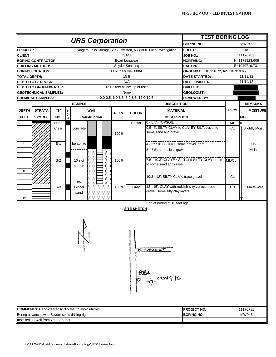|                 |                                                |               |      |                                                                   |      |                                      |                                                                                   | <b>TEST BORING LOG</b>                         |             |                       |
|-----------------|------------------------------------------------|---------------|------|-------------------------------------------------------------------|------|--------------------------------------|-----------------------------------------------------------------------------------|------------------------------------------------|-------------|-----------------------|
|                 |                                                |               |      | <b>URS Corporation</b>                                            |      |                                      |                                                                                   | <b>BORING NO:</b>                              |             | MW946                 |
| <b>PROJECT:</b> |                                                |               |      | Niagara Falls Storage Site (Lewiston, NY) BOP Field Investigation |      |                                      |                                                                                   | SHEET:                                         |             | 1 of 1                |
| <b>CLIENT:</b>  |                                                |               |      |                                                                   |      | <b>USACE</b>                         |                                                                                   | <b>JOB NO.:</b>                                |             | 11176781              |
|                 | <b>BORING CONTRACTOR:</b>                      |               |      |                                                                   |      | Boart Longyear                       |                                                                                   | <b>NORTHING:</b>                               |             | N=1172923.608         |
|                 | <b>DRILLING METHOD:</b>                        |               |      |                                                                   |      | Spyder Sonic rig                     |                                                                                   | <b>EASTING:</b>                                |             | E=1040719.731         |
|                 | <b>BORING LOCATION:</b>                        |               |      |                                                                   |      | EU2, near well 808A                  |                                                                                   | GROUND ELEV: 316.72, RISER: 319.65             |             |                       |
| TOTAL DEPTH:    |                                                |               |      |                                                                   |      | 15 <sub>ft</sub>                     |                                                                                   | <b>DATE STARTED:</b>                           |             | 11/13/12              |
|                 | <b>DEPTH TO BEDROCK:</b>                       |               |      |                                                                   |      | N/A                                  |                                                                                   | <b>DATE FINISHED:</b>                          |             | 11/14/12              |
|                 | <b>DEPTH TO GROUNDWATER:</b>                   |               |      |                                                                   |      | 15.02 feet below top of riser        |                                                                                   | <b>DRILLER:</b>                                |             |                       |
|                 | <b>GEOTECHNICAL SAMPLES:</b>                   |               |      |                                                                   |      | None                                 |                                                                                   | <b>GEOLOGIST:</b>                              |             |                       |
|                 | <b>CHEMICAL SAMPLES:</b>                       |               |      |                                                                   |      | 0.0-0.5, 6.0-6.5, 8.0-8.5, 12.0-12.5 |                                                                                   | <b>REVIEWED BY:</b>                            |             |                       |
|                 |                                                |               |      | <b>SAMPLE</b>                                                     |      |                                      | <b>DESCRIPTION</b>                                                                |                                                |             | <b>REMARKS</b>        |
| <b>DEPTH</b>    | <b>STRATA</b>                                  | "S"           |      | Well                                                              |      |                                      | <b>MATERIAL</b>                                                                   |                                                | <b>USCS</b> | <b>MOISTURE</b>       |
| <b>FEET</b>     | <b>SYMBOL</b>                                  | NO.           | Chem | Construction                                                      | REC% | <b>COLOR</b>                         | <b>DESCRIPTION</b>                                                                |                                                |             | PID                   |
|                 |                                                |               |      |                                                                   |      |                                      | 0 - 0.5': TOPSOIL                                                                 |                                                | <b>ML</b>   | $\overline{0}$        |
|                 |                                                | Hand<br>Clear |      | concrete                                                          | 100% | Brown                                | some sand and gravel                                                              | 0.5 -4": SILTY CLAY to CLAYEY SILT, trace to   | <b>CL</b>   | <b>Slightly Moist</b> |
| 5               |                                                | $S-1$         |      | bentonite                                                         |      |                                      | 4 - 5': SILTY CLAY, some gravel, hard                                             |                                                |             | Dry                   |
|                 |                                                |               |      |                                                                   |      |                                      | 5 - 7.5': same, less gravel                                                       |                                                |             | Moist                 |
| 10              |                                                | $S-2$         |      | 10 slot<br>screen                                                 | 100% |                                      | to some sand and gravel                                                           | 7.5 - 10.3': CLAYEY SILT and SILTY CLAY, trace | ML/CL       |                       |
|                 |                                                |               |      | #5                                                                |      |                                      | 10.3 - 12": SILTY CLAY, trace gravel                                              |                                                | <b>CL</b>   |                       |
| 15              |                                                | $S-3$         |      | Global<br>sand                                                    | 100% | Gray                                 | 12 - 15': CLAY with reddish silty varves, trace<br>gravel, some silty clay layers |                                                | <b>CH</b>   | Moist-Wet             |
|                 |                                                |               |      |                                                                   |      |                                      | End of boring at 15 feet bgs                                                      |                                                |             |                       |
|                 |                                                |               |      |                                                                   |      | <b>SITE SKETCH</b>                   |                                                                                   |                                                |             |                       |
|                 |                                                |               |      |                                                                   |      |                                      | N STREET<br>OUBA<br>→ A MW946                                                     |                                                |             |                       |
|                 |                                                |               |      | <b>COMMENTS:</b> Hand cleared to 3.5 feet to avoid utilities.     |      |                                      |                                                                                   | PROJECT NO.                                    |             | 11176781              |
|                 | Boring advanced with Spyder sonic drilling rig |               |      |                                                                   |      |                                      |                                                                                   | <b>BORING NO.</b>                              |             | MW946                 |
|                 | Installed 2" well from 7.5-12.5 feet           |               |      |                                                                   |      |                                      |                                                                                   |                                                |             |                       |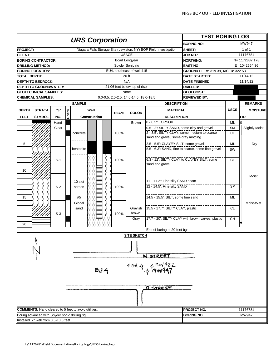|                     |                                                |       |      |                                                                   |      |                                        |                                             | <b>TEST BORING LOG</b>                             |             |                       |
|---------------------|------------------------------------------------|-------|------|-------------------------------------------------------------------|------|----------------------------------------|---------------------------------------------|----------------------------------------------------|-------------|-----------------------|
|                     |                                                |       |      | <b>URS Corporation</b>                                            |      |                                        |                                             | <b>BORING NO:</b>                                  |             | MW947                 |
| <b>PROJECT:</b>     |                                                |       |      | Niagara Falls Storage Site (Lewiston, NY) BOP Field Investigation |      |                                        |                                             | SHEET:                                             |             | 1 of 1                |
| <b>CLIENT:</b>      |                                                |       |      |                                                                   |      | <b>USACE</b>                           |                                             | <b>JOB NO.:</b>                                    |             | 11176781              |
|                     | <b>BORING CONTRACTOR:</b>                      |       |      |                                                                   |      | <b>Boart Longyear</b>                  |                                             | <b>NORTHING:</b>                                   |             | N= 1172887.178        |
|                     | <b>DRILLING METHOD:</b>                        |       |      |                                                                   |      | Spyder Sonic rig                       |                                             | <b>EASTING:</b>                                    |             | $E = 1042564.36$      |
|                     | <b>BORING LOCATION:</b>                        |       |      |                                                                   |      | EU4, southeast of well 415             |                                             | GROUND ELEV: 319.39, RISER: 322.53                 |             |                       |
| <b>TOTAL DEPTH:</b> |                                                |       |      |                                                                   |      | 20 ft                                  |                                             | <b>DATE STARTED:</b>                               |             | 11/14/12              |
|                     | <b>DEPTH TO BEDROCK:</b>                       |       |      |                                                                   |      | N/A                                    |                                             | <b>DATE FINISHED:</b>                              |             | 11/14/12              |
|                     | <b>DEPTH TO GROUNDWATER:</b>                   |       |      |                                                                   |      | 21.06 feet below top of riser          |                                             | <b>DRILLER:</b>                                    |             |                       |
|                     | <b>GEOTECHNICAL SAMPLES:</b>                   |       |      |                                                                   |      | None                                   |                                             | <b>GEOLOGIST:</b>                                  |             |                       |
|                     | <b>CHEMICAL SAMPLES:</b>                       |       |      |                                                                   |      | 0.0-0.5, 2.0-2.5, 14.0-14.5, 18.0-18.5 |                                             | <b>REVIEWED BY:</b>                                |             |                       |
|                     |                                                |       |      | <b>SAMPLE</b>                                                     |      |                                        | <b>DESCRIPTION</b>                          |                                                    |             | <b>REMARKS</b>        |
| <b>DEPTH</b>        | <b>STRATA</b>                                  | "S"   |      | Well                                                              |      |                                        | <b>MATERIAL</b>                             |                                                    | <b>USCS</b> | <b>MOISTURE</b>       |
| <b>FEET</b>         | <b>SYMBOL</b>                                  | NO.   | Chem | Construction                                                      | REC% | <b>COLOR</b>                           | <b>DESCRIPTION</b>                          |                                                    |             | <b>PID</b>            |
|                     |                                                | Hand  |      |                                                                   |      | Brown                                  | 0 - 0.5': TOPSOIL                           |                                                    | <b>ML</b>   | 0                     |
|                     |                                                | Clear |      |                                                                   |      |                                        | 0.5 - 2': SILTY SAND, some clay and gravel  |                                                    | <b>SM</b>   | <b>Slightly Moist</b> |
|                     |                                                |       |      | concrete                                                          | 100% |                                        | 2 - 3.5': SILTY CLAY, some medium to coarse |                                                    | <b>CL</b>   |                       |
|                     |                                                |       |      |                                                                   |      |                                        | sand and gravel, some gray mottling         |                                                    |             |                       |
| 5                   |                                                |       |      |                                                                   |      |                                        | 3.5 - 5.5': CLAYEY SILT, some gravel        |                                                    | ML          | Dry                   |
|                     |                                                |       |      | bentonite                                                         |      |                                        |                                             | 5.5 - 6.3': SAND, fine to coarse, some fine gravel | <b>SW</b>   |                       |
|                     |                                                |       |      |                                                                   |      |                                        |                                             |                                                    |             |                       |
|                     |                                                | $S-1$ |      |                                                                   | 100% |                                        | 6.3 - 12': SILTY CLAY to CLAYEY SILT, some  |                                                    | <b>CL</b>   |                       |
|                     |                                                |       |      |                                                                   |      |                                        | sand and gravel                             |                                                    |             |                       |
| 10                  |                                                |       |      |                                                                   |      |                                        |                                             |                                                    |             |                       |
|                     |                                                |       |      |                                                                   |      |                                        |                                             |                                                    |             | Moist                 |
|                     |                                                |       |      | 10 slot                                                           |      |                                        | 11 - 11.2': Fine silty SAND seam            |                                                    |             |                       |
|                     |                                                | $S-2$ |      | screen                                                            | 100% |                                        | 12 - 14.5': Fine silty SAND                 |                                                    | <b>SP</b>   |                       |
|                     |                                                |       |      |                                                                   |      |                                        |                                             |                                                    |             |                       |
| 15                  |                                                |       |      | #5                                                                |      |                                        | 14.5 - 15.5': SILT, some fine sand          |                                                    | ML          |                       |
|                     |                                                |       |      | Global                                                            |      |                                        |                                             |                                                    |             | Moist-Wet             |
|                     |                                                |       |      | sand                                                              |      | Grayish                                | 15.5 - 17.7': SILTY CLAY, plastic           |                                                    | <b>CL</b>   |                       |
|                     |                                                | $S-3$ |      |                                                                   | 100% | brown                                  |                                             |                                                    |             |                       |
|                     |                                                |       |      |                                                                   |      | Gray                                   |                                             | 17.7 - 20': SILTY CLAY with brown varves, plastic  | <b>CH</b>   |                       |
| 20                  |                                                |       |      |                                                                   |      |                                        |                                             |                                                    |             |                       |
|                     |                                                |       |      |                                                                   |      |                                        | End of boring at 20 feet bgs                |                                                    |             |                       |
|                     |                                                |       |      |                                                                   |      | <u>SITE SKETCH</u>                     |                                             |                                                    |             |                       |
|                     |                                                |       |      |                                                                   |      |                                        | N STREET                                    |                                                    |             |                       |
|                     |                                                |       |      | EU 4                                                              |      |                                        | 415A $4 - 4$ MW 422                         |                                                    |             |                       |
|                     |                                                |       |      |                                                                   |      |                                        | <b>O STREET</b>                             |                                                    |             |                       |
|                     |                                                |       |      |                                                                   |      |                                        |                                             |                                                    |             |                       |
|                     |                                                |       |      |                                                                   |      |                                        |                                             |                                                    |             |                       |
|                     |                                                |       |      | <b>COMMENTS:</b> Hand cleared to 5 feet to avoid utilities.       |      |                                        |                                             | PROJECT NO.                                        |             | 11176781              |
|                     | Boring advanced with Spyder sonic drilling rig |       |      |                                                                   |      |                                        |                                             | <b>BORING NO.</b>                                  |             | MW947                 |
|                     | Installed 2" well from 8.5-18.5 feet           |       |      |                                                                   |      |                                        |                                             |                                                    |             |                       |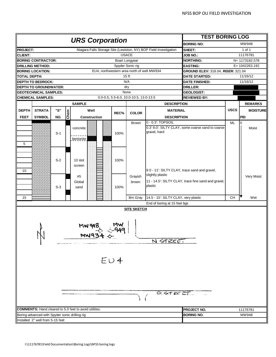|                     |                                                |                |      |                                                                   |              |                                        |                                                                              | <b>TEST BORING LOG</b>                              |             |                 |
|---------------------|------------------------------------------------|----------------|------|-------------------------------------------------------------------|--------------|----------------------------------------|------------------------------------------------------------------------------|-----------------------------------------------------|-------------|-----------------|
|                     |                                                |                |      | <b>URS Corporation</b>                                            |              |                                        |                                                                              | <b>BORING NO:</b>                                   |             | MW948           |
| <b>PROJECT:</b>     |                                                |                |      | Niagara Falls Storage Site (Lewiston, NY) BOP Field Investigation |              |                                        |                                                                              | SHEET:                                              |             | 1 of 1          |
| <b>CLIENT:</b>      |                                                |                |      |                                                                   |              | <b>USACE</b>                           |                                                                              | <b>JOB NO.:</b>                                     |             | 11176781        |
|                     | <b>BORING CONTRACTOR:</b>                      |                |      |                                                                   |              | <b>Boart Longyear</b>                  |                                                                              | <b>NORTHING:</b>                                    |             | N= 1173182.578  |
|                     | <b>DRILLING METHOD:</b>                        |                |      |                                                                   |              | Spyder Sonic rig                       |                                                                              | <b>EASTING:</b>                                     |             | E= 1042263.192  |
|                     | <b>BORING LOCATION:</b>                        |                |      | EU4, northwestern area north of well MW934                        |              |                                        |                                                                              | GROUND ELEV: 318.04, RISER: 321.04                  |             |                 |
| <b>TOTAL DEPTH:</b> |                                                |                |      |                                                                   |              | 15 <sub>ft</sub>                       |                                                                              | <b>DATE STARTED:</b>                                |             | 11/16/12        |
|                     | <b>DEPTH TO BEDROCK:</b>                       |                |      |                                                                   |              | N/A                                    |                                                                              | <b>DATE FINISHED:</b>                               |             | 11/16/12        |
|                     | <b>DEPTH TO GROUNDWATER:</b>                   |                |      |                                                                   |              | dry                                    |                                                                              | <b>DRILLER:</b>                                     |             |                 |
|                     | <b>GEOTECHNICAL SAMPLES:</b>                   |                |      |                                                                   |              | None                                   |                                                                              | <b>GEOLOGIST:</b>                                   |             |                 |
|                     | <b>CHEMICAL SAMPLES:</b>                       |                |      |                                                                   |              | 0.0-0.5, 5.5-6.0, 10.0-10.5, 13.0-13.5 |                                                                              | <b>REVIEWED BY:</b>                                 |             |                 |
|                     |                                                |                |      | <b>SAMPLE</b>                                                     |              |                                        | <b>DESCRIPTION</b>                                                           |                                                     |             | <b>REMARKS</b>  |
| <b>DEPTH</b>        | <b>STRATA</b>                                  | "S"            |      | Well                                                              |              |                                        | <b>MATERIAL</b>                                                              |                                                     | <b>USCS</b> | <b>MOISTURE</b> |
| <b>FEET</b>         | <b>SYMBOL</b>                                  | NO.            | Chem | Construction                                                      | REC%         | <b>COLOR</b>                           | <b>DESCRIPTION</b>                                                           |                                                     |             | <b>PID</b>      |
|                     |                                                |                |      |                                                                   |              |                                        | 0 - 0.3': TOPSOIL                                                            |                                                     |             |                 |
| 5                   |                                                | $S-1$          |      | concrete<br>bentonite                                             | 100%         | Brown                                  | gravel, hard                                                                 | 0.3' 9.0': SILTY CLAY, some coarse sand to coarse   | ML          | 0<br>Moist      |
| 10                  |                                                | $S-2$<br>$S-3$ |      | 10 slot<br>screen<br>#5<br>Global<br>sand                         | 100%<br>100% | Grayish<br>brown                       | 9.0 - 11': SILTY CLAY, trace sand and gravel,<br>slightly plastic<br>plastic | 11 - 14.5': SILTY CLAY, trace fine sand and gravel, |             | Very Moist      |
| 15                  |                                                |                |      |                                                                   |              | <b>Brn Gray</b>                        | 14.5 - 15': SILTY CLAY, very plastic                                         |                                                     | <b>CH</b>   | Wet             |
|                     |                                                |                |      |                                                                   |              |                                        | End of boring at 15 feet bgs                                                 |                                                     |             |                 |
|                     |                                                |                |      |                                                                   |              | <b>SITE SKETCH</b>                     |                                                                              |                                                     |             |                 |
|                     | 1 N                                            |                |      | MW948<br>$M W 934 \Leftrightarrow$                                |              |                                        | N STREE!                                                                     |                                                     |             |                 |
|                     |                                                |                |      |                                                                   | $E\cup 4$    |                                        | O STREET                                                                     |                                                     |             |                 |
|                     |                                                |                |      | <b>COMMENTS:</b> Hand cleared to 5.0 feet to avoid utilities.     |              |                                        |                                                                              | <b>PROJECT NO.</b>                                  |             | 11176781        |
|                     | Boring advanced with Spyder sonic drilling rig |                |      |                                                                   |              |                                        |                                                                              | <b>BORING NO.</b>                                   |             | MW948           |
|                     | Installed 2" well from 5-15 feet               |                |      |                                                                   |              |                                        |                                                                              |                                                     |             |                 |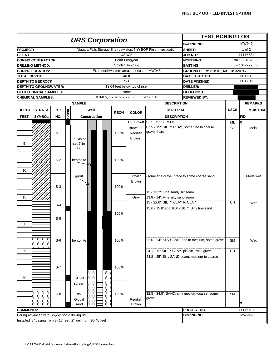|                     |                                                |       |      |                                                                   |      |                                            |                                                                    | <b>TEST BORING LOG</b>                              |             |                   |
|---------------------|------------------------------------------------|-------|------|-------------------------------------------------------------------|------|--------------------------------------------|--------------------------------------------------------------------|-----------------------------------------------------|-------------|-------------------|
|                     |                                                |       |      | <b>URS Corporation</b>                                            |      |                                            |                                                                    | <b>BORING NO:</b>                                   |             | MW949             |
| <b>PROJECT:</b>     |                                                |       |      | Niagara Falls Storage Site (Lewiston, NY) BOP Field Investigation |      |                                            |                                                                    | SHEET:                                              |             | 1 of 2            |
| <b>CLIENT:</b>      |                                                |       |      |                                                                   |      | <b>USACE</b>                               |                                                                    | <b>JOB NO.:</b>                                     |             | 11176781          |
|                     | <b>BORING CONTRACTOR:</b>                      |       |      |                                                                   |      | Boart Longyear                             |                                                                    | <b>NORTHING:</b>                                    |             | N= 1173182.892    |
|                     | <b>DRILLING METHOD:</b>                        |       |      |                                                                   |      | Spyder Sonic rig                           |                                                                    | <b>EASTING:</b>                                     |             | $E = 1042272.833$ |
|                     | <b>BORING LOCATION:</b>                        |       |      |                                                                   |      | EU4, northwestern area, just east of MW948 |                                                                    | <b>GROUND ELEV: 318.07, RISER: 320.96</b>           |             |                   |
| <b>TOTAL DEPTH:</b> |                                                |       |      |                                                                   |      | 40 ft                                      |                                                                    | <b>DATE STARTED:</b>                                |             | 11/15/12          |
|                     | <b>DEPTH TO BEDROCK:</b>                       |       |      |                                                                   |      | N/A                                        |                                                                    | <b>DATE FINISHED:</b>                               |             | 11/17/12          |
|                     | <b>DEPTH TO GROUNDWATER:</b>                   |       |      |                                                                   |      | 13.04 feet below top of riser              |                                                                    | DRILLER:                                            |             |                   |
|                     | <b>GEOTECHNICAL SAMPLES:</b>                   |       |      |                                                                   |      | None                                       |                                                                    | <b>GEOLOGIST:</b>                                   |             |                   |
|                     | <b>CHEMICAL SAMPLES:</b>                       |       |      |                                                                   |      | 0.0-0.5, 16.0-16.5, 29.5-30.0, 34.5-35.0   |                                                                    | <b>REVIEWED BY:</b>                                 |             |                   |
|                     |                                                |       |      | <b>SAMPLE</b>                                                     |      |                                            | <b>DESCRIPTION</b>                                                 |                                                     |             | <b>REMARKS</b>    |
| <b>DEPTH</b>        | <b>STRATA</b>                                  | "S"   |      | Well                                                              |      |                                            | <b>MATERIAL</b>                                                    |                                                     | <b>USCS</b> | <b>MOISTURE</b>   |
|                     |                                                | NO.   | Chem |                                                                   | REC% | <b>COLOR</b>                               |                                                                    |                                                     |             |                   |
| <b>FEET</b>         | <b>SYMBOL</b>                                  |       |      | Construction                                                      |      |                                            | <b>DESCRIPTION</b><br>Dk. Brown 0 - 0.25': TOPSOIL                 |                                                     |             | PID               |
|                     |                                                |       |      |                                                                   |      |                                            | 0.25 - 15': SILTY CLAY, some fine to coarse                        |                                                     | ML          | $\overline{0}$    |
|                     |                                                | $S-1$ |      |                                                                   |      | Brown to                                   | gravel, hard                                                       |                                                     | <b>CL</b>   | Moist             |
|                     |                                                |       |      |                                                                   | 100% | Reddish                                    |                                                                    |                                                     |             |                   |
| 5                   |                                                |       |      | 8" Casing<br>set 2' to                                            |      | Brown                                      |                                                                    |                                                     |             |                   |
|                     |                                                |       |      | 17'                                                               |      |                                            |                                                                    |                                                     |             |                   |
|                     |                                                |       |      |                                                                   |      |                                            |                                                                    |                                                     |             |                   |
|                     |                                                |       |      |                                                                   |      |                                            |                                                                    |                                                     |             |                   |
|                     |                                                | $S-2$ |      | bentonite                                                         | 100% |                                            |                                                                    |                                                     |             |                   |
| 10                  |                                                |       |      |                                                                   |      |                                            |                                                                    |                                                     |             |                   |
|                     |                                                |       |      |                                                                   |      |                                            |                                                                    |                                                     |             |                   |
|                     |                                                |       |      | grout                                                             |      | Grayish                                    | -some fine gravel, trace to some coarse sand                       |                                                     |             | Moist-wet         |
|                     |                                                | $S-3$ |      |                                                                   |      | <b>Brown</b>                               |                                                                    |                                                     |             |                   |
|                     |                                                |       |      |                                                                   | 100% |                                            |                                                                    |                                                     |             |                   |
| 15                  |                                                |       |      |                                                                   |      |                                            | 13 - 13.2': Fine sandy silt seam                                   |                                                     |             |                   |
|                     |                                                |       |      |                                                                   |      | Gray                                       | 13.8 - 14': Fine silty sand seam<br>15 - 22.6': SILTY CLAY to CLAY |                                                     | <b>CH</b>   |                   |
|                     |                                                | $S-4$ |      |                                                                   |      |                                            |                                                                    |                                                     |             | Wet               |
|                     |                                                |       |      |                                                                   |      |                                            | 15.6 - 15.8' and 16.6 - 16.7': Silty fine sand                     |                                                     |             |                   |
|                     |                                                |       |      |                                                                   | 100% |                                            |                                                                    |                                                     |             |                   |
|                     |                                                | $S-5$ |      |                                                                   |      |                                            |                                                                    |                                                     |             |                   |
| 20                  |                                                |       |      |                                                                   |      |                                            |                                                                    |                                                     |             |                   |
|                     |                                                |       |      |                                                                   |      |                                            |                                                                    |                                                     |             |                   |
|                     |                                                |       |      |                                                                   |      |                                            |                                                                    | 22.6 - 24': Silty SAND, fine to medium, some gravel |             |                   |
|                     |                                                | $S-6$ |      | bentonite                                                         | 100% |                                            |                                                                    |                                                     | <b>SM</b>   | Wet               |
|                     |                                                |       |      |                                                                   |      |                                            |                                                                    |                                                     |             |                   |
| 25                  |                                                |       |      |                                                                   |      |                                            | 24- 32.5": SILTY CLAY, plastic, trace gravel                       |                                                     | CH          |                   |
|                     |                                                |       |      |                                                                   |      |                                            | 24.8 - 25': Silty SAND seam, medium to coarse                      |                                                     |             |                   |
|                     |                                                |       |      |                                                                   |      |                                            |                                                                    |                                                     |             |                   |
|                     |                                                | $S-7$ |      |                                                                   | 100% |                                            |                                                                    |                                                     |             |                   |
|                     |                                                |       |      |                                                                   |      |                                            |                                                                    |                                                     |             |                   |
| 30                  |                                                |       |      | 10 slot                                                           |      |                                            |                                                                    |                                                     |             |                   |
|                     |                                                |       |      | screen                                                            |      |                                            |                                                                    |                                                     |             |                   |
|                     |                                                |       |      |                                                                   |      |                                            |                                                                    |                                                     |             |                   |
|                     |                                                | $S-8$ |      | #5                                                                | 100% |                                            | 32.5 - 34.5': SAND, silty medium-coarse, some<br>gravel            |                                                     | <b>SM</b>   |                   |
|                     |                                                |       |      | Global                                                            |      | Reddish                                    |                                                                    |                                                     |             |                   |
|                     |                                                |       |      | sand                                                              |      | Brown                                      |                                                                    |                                                     |             |                   |
| <b>COMMENTS:</b>    |                                                |       |      |                                                                   |      |                                            |                                                                    | PROJECT NO.                                         |             | 11176781          |
|                     | Boring advanced with Spyder sonic drilling rig |       |      |                                                                   |      |                                            |                                                                    | <b>BORING NO.</b>                                   |             | MW949             |
|                     |                                                |       |      | Installed 8" casing from 2- 17 feet, 2" well from 30-40 feet      |      |                                            |                                                                    |                                                     |             |                   |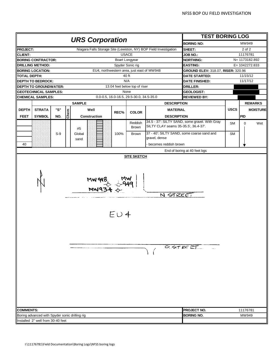|                         |                                                |       |      |                                                                   |           |                                          |                                                             | <b>TEST BORING LOG</b>                         |             |                   |
|-------------------------|------------------------------------------------|-------|------|-------------------------------------------------------------------|-----------|------------------------------------------|-------------------------------------------------------------|------------------------------------------------|-------------|-------------------|
|                         |                                                |       |      | <b>URS Corporation</b>                                            |           |                                          |                                                             | <b>BORING NO:</b>                              |             | MW949             |
| <b>PROJECT:</b>         |                                                |       |      | Niagara Falls Storage Site (Lewiston, NY) BOP Field Investigation |           |                                          |                                                             | SHEET:                                         |             | 2 of 2            |
| <b>CLIENT:</b>          |                                                |       |      |                                                                   |           | <b>USACE</b>                             |                                                             | <b>JOB NO.:</b>                                |             | 11176781          |
|                         | <b>BORING CONTRACTOR:</b>                      |       |      |                                                                   |           | Boart Longyear                           |                                                             | <b>NORTHING:</b>                               |             | N= 1173182.892    |
| <b>DRILLING METHOD:</b> |                                                |       |      |                                                                   |           | Spyder Sonic rig                         |                                                             | <b>EASTING:</b>                                |             | E= 1042272.833    |
| <b>BORING LOCATION:</b> |                                                |       |      | EU4, northwestern area, just east of MW948                        |           |                                          |                                                             | GROUND ELEV: 318.07, RISER: 320.96             |             |                   |
| TOTAL DEPTH:            |                                                |       |      |                                                                   |           | 40 ft                                    |                                                             | <b>DATE STARTED:</b>                           |             | 11/15/12          |
|                         | <b>DEPTH TO BEDROCK:</b>                       |       |      |                                                                   |           | N/A                                      |                                                             | <b>DATE FINISHED:</b>                          |             | 11/17/12          |
|                         | <b>DEPTH TO GROUNDWATER:</b>                   |       |      |                                                                   |           | 13.04 feet below top of riser            |                                                             | <b>DRILLER:</b>                                |             |                   |
|                         | <b>GEOTECHNICAL SAMPLES:</b>                   |       |      |                                                                   |           | None                                     |                                                             | <b>GEOLOGIST:</b>                              |             |                   |
|                         | <b>CHEMICAL SAMPLES:</b>                       |       |      |                                                                   |           | 0.0-0.5, 16.0-16.5, 29.5-30.0, 34.5-35.0 |                                                             | <b>REVIEWED BY:</b>                            |             |                   |
|                         |                                                |       |      | <b>SAMPLE</b>                                                     |           |                                          | <b>DESCRIPTION</b>                                          |                                                |             | <b>REMARKS</b>    |
| <b>DEPTH</b>            | <b>STRATA</b>                                  | "S"   |      | Well                                                              |           |                                          | <b>MATERIAL</b>                                             |                                                | <b>USCS</b> | <b>MOISTURE</b>   |
| <b>FEET</b>             | <b>SYMBOL</b>                                  | NO.   | Chem | <b>Construction</b>                                               | REC%      | <b>COLOR</b>                             | <b>DESCRIPTION</b>                                          |                                                |             | PID               |
|                         |                                                |       |      |                                                                   |           |                                          |                                                             | 34.5 - 37': SILTY SAND, some gravel. With Gray |             |                   |
|                         |                                                |       |      | #5                                                                |           | Reddish<br><b>Brown</b>                  | SILTY CLAY seams 35-35.5', 36.4-37'.                        |                                                | <b>SM</b>   | Wet<br>0          |
|                         |                                                | $S-9$ |      | Global<br>sand                                                    | 100%      | Brown                                    | 37 - 40': SILTY SAND, some coarse sand and<br>gravel, dense |                                                | <b>SM</b>   |                   |
| 40                      |                                                |       |      |                                                                   |           |                                          | - becomes reddish brown                                     |                                                |             |                   |
|                         |                                                |       |      |                                                                   |           |                                          |                                                             | End of boring at 40 feet bgs                   |             |                   |
|                         |                                                |       |      | <b>MW948</b><br>MW9                                               | $E\cup 4$ |                                          | N STREET                                                    | $0.5T$ RE ET                                   |             |                   |
| <b>COMMENTS:</b>        | Boring advanced with Spyder sonic drilling rig |       |      |                                                                   |           |                                          |                                                             | PROJECT NO.<br><b>BORING NO.</b>               |             | 11176781<br>MW949 |
|                         | Installed 2" well from 30-40 feet              |       |      |                                                                   |           |                                          |                                                             |                                                |             |                   |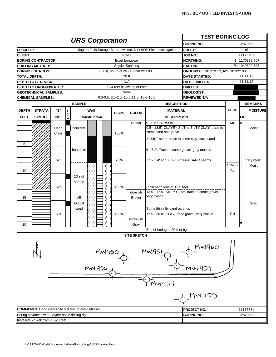|                                                |               |       |      | <b>URS Corporation</b>                                            |      |                                        |                                                | <b>TEST BORING LOG</b>                           |             |                 |
|------------------------------------------------|---------------|-------|------|-------------------------------------------------------------------|------|----------------------------------------|------------------------------------------------|--------------------------------------------------|-------------|-----------------|
|                                                |               |       |      |                                                                   |      |                                        |                                                | <b>BORING NO:</b>                                |             | MW950           |
| <b>PROJECT:</b>                                |               |       |      | Niagara Falls Storage Site (Lewiston, NY) BOP Field Investigation |      |                                        |                                                | SHEET:                                           |             | 1 of 1          |
| <b>CLIENT:</b>                                 |               |       |      |                                                                   |      | <b>USACE</b>                           |                                                | <b>JOB NO.:</b>                                  |             | 11176781        |
| <b>BORING CONTRACTOR:</b>                      |               |       |      |                                                                   |      | <b>Boart Longyear</b>                  |                                                | <b>NORTHING:</b>                                 |             | N= 1170882.707  |
| <b>DRILLING METHOD:</b>                        |               |       |      |                                                                   |      | Spyder Sonic rig                       |                                                | <b>EASTING:</b>                                  |             | E= 1040800.395  |
| <b>BORING LOCATION:</b>                        |               |       |      |                                                                   |      | EU10, south of IWCS near well 831      |                                                | GROUND ELEV: 319.12, RISER: 322.03               |             |                 |
| <b>TOTAL DEPTH:</b>                            |               |       |      |                                                                   |      | 20 ft                                  |                                                | <b>DATE STARTED:</b>                             |             | 11/11/12        |
| <b>DEPTH TO BEDROCK:</b>                       |               |       |      |                                                                   |      | N/A                                    |                                                | <b>DATE FINISHED:</b>                            |             | 11/11/12        |
| <b>DEPTH TO GROUNDWATER:</b>                   |               |       |      |                                                                   |      | 6.34 feet below top of riser           |                                                | <b>DRILLER:</b>                                  |             |                 |
| <b>GEOTECHNICAL SAMPLES:</b>                   |               |       |      |                                                                   |      | None                                   |                                                | <b>GEOLOGIST:</b>                                |             |                 |
| <b>CHEMICAL SAMPLES:</b>                       |               |       |      |                                                                   |      | 0.0-0.5, 2.0-2.5, 10.5-11.0, 15.0-15.5 |                                                | <b>REVIEWED BY:</b>                              |             |                 |
|                                                |               |       |      | <b>SAMPLE</b>                                                     |      |                                        | <b>DESCRIPTION</b>                             |                                                  |             | <b>REMARKS</b>  |
| <b>DEPTH</b>                                   | <b>STRATA</b> | "S"   |      | Well                                                              |      |                                        | <b>MATERIAL</b>                                |                                                  | <b>USCS</b> | <b>MOISTURE</b> |
| <b>FEET</b>                                    | <b>SYMBOL</b> | NO.   | Chem |                                                                   | REC% | <b>COLOR</b>                           | <b>DESCRIPTION</b>                             |                                                  |             | <b>PID</b>      |
|                                                |               |       |      | Construction                                                      |      |                                        |                                                |                                                  |             |                 |
|                                                |               |       |      |                                                                   |      | Brown                                  | 0 - 0.5': TOPSOIL                              |                                                  | ML          | $\overline{0}$  |
|                                                |               | Hand  |      | concrete                                                          |      |                                        | some sand and gravel                           | 0.5 - 13.5': CLAYEY SILT to SILTY CLAY, trace to |             | Moist           |
|                                                |               | Clear |      |                                                                   | 100% |                                        |                                                |                                                  |             |                 |
|                                                |               |       |      |                                                                   |      |                                        | 3': SILT seam, trace to some clay, trace sand  |                                                  |             |                 |
| 5                                              |               |       |      |                                                                   |      |                                        |                                                |                                                  |             |                 |
|                                                |               |       |      | bentonite                                                         |      |                                        | 5 - 7.2': Trace to some gravel, gray mottles   |                                                  |             |                 |
|                                                |               |       |      |                                                                   |      |                                        |                                                |                                                  |             |                 |
|                                                |               | $S-1$ |      |                                                                   | 70%  |                                        | 7.2 - 7.4' and 7.7 - 8.6': Fine SAND seams     |                                                  |             | Very moist      |
|                                                |               |       |      |                                                                   |      |                                        |                                                |                                                  | SM/SC       | Moist           |
| 10                                             |               |       |      |                                                                   |      |                                        |                                                |                                                  | <b>CL</b>   |                 |
|                                                |               |       |      | 10 slot                                                           |      |                                        |                                                |                                                  |             |                 |
|                                                |               |       |      | screen                                                            |      |                                        |                                                |                                                  |             |                 |
|                                                |               | $S-2$ |      |                                                                   | 100% |                                        | thin sand lens at 13.5 feet                    |                                                  |             |                 |
|                                                |               |       |      |                                                                   |      | Grayish                                |                                                | 13.5 - 17.5': SILTY CLAY, trace to some gravel,  |             |                 |
| 15                                             |               |       |      | #5                                                                |      | Brown                                  | very plastic                                   |                                                  |             |                 |
|                                                |               |       |      | Global                                                            |      |                                        |                                                |                                                  |             | Wet             |
|                                                |               |       |      | sand                                                              |      |                                        | Some thin silty sand partings                  |                                                  |             |                 |
|                                                |               | $S-3$ |      |                                                                   | 100% |                                        | 17.5 - 20.0': CLAY, trace gravel, very plastic |                                                  | <b>CH</b>   |                 |
|                                                |               |       |      |                                                                   |      | <b>Brownish</b>                        |                                                |                                                  |             |                 |
| 20                                             |               |       |      |                                                                   |      | Gray                                   |                                                |                                                  |             |                 |
|                                                |               |       |      |                                                                   |      |                                        | End of boring at 20 feet bgs                   |                                                  |             |                 |
|                                                |               |       |      |                                                                   |      | <b>SITE SKETCH</b>                     |                                                |                                                  |             |                 |
|                                                |               |       |      | MW950                                                             |      |                                        | MWGS                                           | MW960                                            |             |                 |
|                                                |               |       |      | MW 956                                                            |      |                                        |                                                | MW 959                                           |             |                 |
|                                                |               |       |      |                                                                   |      |                                        | MW957                                          |                                                  |             |                 |
|                                                |               |       |      |                                                                   |      |                                        |                                                | MW953                                            |             |                 |
|                                                |               |       |      | <b>COMMENTS:</b> Hand cleared to 5.0 feet to avoid utilities.     |      |                                        |                                                | PROJECT NO.                                      |             | 11176781        |
| Boring advanced with Spyder sonic drilling rig |               |       |      |                                                                   |      |                                        |                                                | <b>BORING NO.</b>                                |             | MW950           |
| Installed 2" well from 10-20 feet              |               |       |      |                                                                   |      |                                        |                                                |                                                  |             |                 |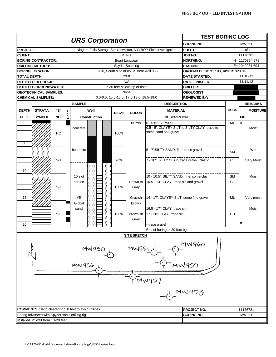|                                                               |      | <b>URS Corporation</b>                                            |      |                                          |                                               | <b>TEST BORING LOG</b>                    |             |                   |
|---------------------------------------------------------------|------|-------------------------------------------------------------------|------|------------------------------------------|-----------------------------------------------|-------------------------------------------|-------------|-------------------|
|                                                               |      |                                                                   |      |                                          |                                               | <b>BORING NO:</b>                         |             | MW951             |
| <b>PROJECT:</b>                                               |      | Niagara Falls Storage Site (Lewiston, NY) BOP Field Investigation |      |                                          |                                               | SHEET:                                    |             | 1 of 1            |
| <b>CLIENT:</b>                                                |      |                                                                   |      | <b>USACE</b>                             |                                               | <b>JOB NO.:</b>                           |             | 11176781          |
| <b>BORING CONTRACTOR:</b>                                     |      |                                                                   |      | Boart Longyear                           |                                               | <b>NORTHING:</b>                          |             | N= 1170894.878    |
| <b>DRILLING METHOD:</b>                                       |      |                                                                   |      | Spyder Sonic rig                         |                                               | <b>EASTING:</b>                           |             | $E = 1040961.694$ |
| <b>BORING LOCATION:</b>                                       |      |                                                                   |      | EU10, South side of IWCS near well 833   |                                               | <b>GROUND ELEV: 317.80, RISER: 320.84</b> |             |                   |
| TOTAL DEPTH:                                                  |      |                                                                   |      | 20 ft                                    |                                               | <b>DATE STARTED:</b>                      |             | 11/10/12          |
| <b>DEPTH TO BEDROCK:</b>                                      |      |                                                                   |      | N/A                                      |                                               | <b>DATE FINISHED:</b>                     |             | 11/11/12          |
| <b>DEPTH TO GROUNDWATER:</b>                                  |      |                                                                   |      | 7.36 feet below top of riser             |                                               | <b>DRILLER:</b>                           |             |                   |
| <b>GEOTECHNICAL SAMPLES:</b>                                  |      |                                                                   |      | None                                     |                                               | <b>GEOLOGIST:</b>                         |             |                   |
| <b>CHEMICAL SAMPLES:</b>                                      |      |                                                                   |      | 0.0-0.5, 15.0-15.5, 17.5-18.0, 18.5-19.0 |                                               | <b>REVIEWED BY:</b>                       |             |                   |
|                                                               |      | <b>SAMPLE</b>                                                     |      |                                          | <b>DESCRIPTION</b>                            |                                           |             | <b>REMARKS</b>    |
| "S"<br><b>STRATA</b><br><b>DEPTH</b>                          |      | Well                                                              | REC% | <b>COLOR</b>                             | <b>MATERIAL</b>                               |                                           | <b>USCS</b> | <b>MOISTURE</b>   |
| <b>SYMBOL</b><br>NO.<br><b>FEET</b>                           | Chem | <b>Construction</b>                                               |      |                                          | <b>DESCRIPTION</b>                            |                                           |             | PID               |
|                                                               |      |                                                                   |      | <b>Brown</b>                             | $0 - 0.5$ : TOPSOIL                           |                                           | ML          | $\overline{0}$    |
|                                                               |      | concrete                                                          |      |                                          | 0.5 - 5': CLAYEY SILT to SILTY CLAY, trace to |                                           |             | Moist             |
| HC                                                            |      |                                                                   | 100% |                                          | some sand and gravel                          |                                           |             |                   |
|                                                               |      |                                                                   |      |                                          |                                               |                                           |             |                   |
| 5                                                             |      |                                                                   |      |                                          |                                               |                                           |             |                   |
|                                                               |      | bentonite                                                         |      |                                          | 5 - 7': SILTY SAND, fine, trace gravel        |                                           |             | Wet               |
|                                                               |      |                                                                   |      |                                          |                                               |                                           | <b>SM</b>   |                   |
| $S-1$                                                         |      |                                                                   | 70%  |                                          | 7 - 10': 'SILTY CLAY, trace gravel, plastic   |                                           | <b>CL</b>   | Very Moist        |
|                                                               |      |                                                                   |      |                                          |                                               |                                           |             |                   |
| 10                                                            |      |                                                                   |      |                                          |                                               |                                           |             |                   |
|                                                               |      |                                                                   |      |                                          |                                               |                                           |             |                   |
|                                                               |      | 10 slot                                                           |      |                                          | 10 - 10.5': SILTY SAND, fine, some clay       |                                           | <b>SM</b>   | Moist             |
|                                                               |      | screen                                                            |      | Brown to                                 | 10.5 - 14: CLAY, trace silt and gravel        |                                           | <b>CL</b>   |                   |
| $S-2$                                                         |      |                                                                   | 100% | Gray                                     |                                               |                                           |             |                   |
|                                                               |      |                                                                   |      |                                          |                                               |                                           |             |                   |
| 15                                                            |      | #5                                                                |      | Grayish                                  | 14 - 17': CLAYEY SILT, some fine gravel       |                                           | ML          | Very moist        |
|                                                               |      | Global                                                            |      | <b>Brown</b>                             |                                               |                                           |             |                   |
|                                                               |      | sand                                                              |      |                                          | 16.5 - 17': CLAY, trace silt.                 |                                           |             | Moist             |
| $S-3$                                                         |      |                                                                   | 100% | <b>Brownish</b>                          | 17 - 20': CLAY, trace silt                    |                                           | <b>CH</b>   |                   |
|                                                               |      |                                                                   |      | Gray                                     |                                               |                                           |             |                   |
| 20                                                            |      |                                                                   |      |                                          | trace gravel                                  |                                           |             |                   |
|                                                               |      |                                                                   |      |                                          | End of boring at 20 feet bgs                  |                                           |             |                   |
|                                                               |      |                                                                   |      | <b>SITE SKETCH</b>                       |                                               |                                           |             |                   |
|                                                               |      |                                                                   |      |                                          |                                               | 1W96c                                     |             |                   |
|                                                               |      | MW950                                                             |      | MW95                                     |                                               |                                           |             |                   |
|                                                               |      |                                                                   |      |                                          |                                               |                                           |             |                   |
|                                                               |      |                                                                   |      |                                          |                                               |                                           |             |                   |
|                                                               |      | MW 956                                                            |      |                                          |                                               | MW 959                                    |             |                   |
|                                                               |      |                                                                   |      |                                          |                                               |                                           |             |                   |
|                                                               |      |                                                                   |      |                                          |                                               |                                           |             |                   |
|                                                               |      |                                                                   |      |                                          | MW957                                         |                                           |             |                   |
|                                                               |      |                                                                   |      |                                          |                                               |                                           |             |                   |
|                                                               |      |                                                                   |      |                                          |                                               |                                           |             |                   |
|                                                               |      |                                                                   |      |                                          |                                               | $4 - M = 958$                             |             |                   |
|                                                               |      |                                                                   |      |                                          |                                               |                                           |             |                   |
| <b>COMMENTS:</b> Hand cleared to 5.0 feet to avoid utilities. |      |                                                                   |      |                                          |                                               | PROJECT NO.                               |             | 11176781          |
| Boring advanced with Spyder sonic drilling rig                |      |                                                                   |      |                                          |                                               | <b>BORING NO.</b>                         |             | MW951             |
| Installed 2" well from 10-20 feet                             |      |                                                                   |      |                                          |                                               |                                           |             |                   |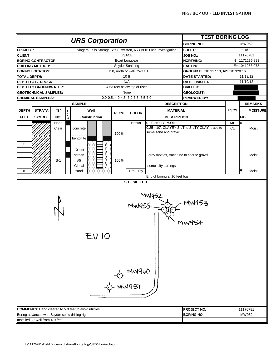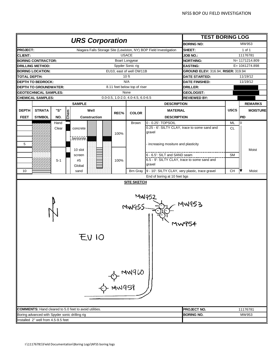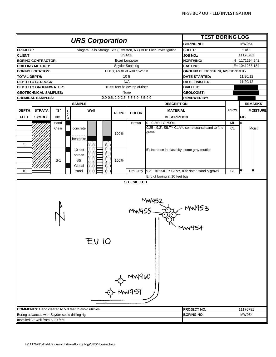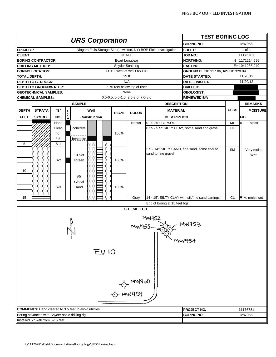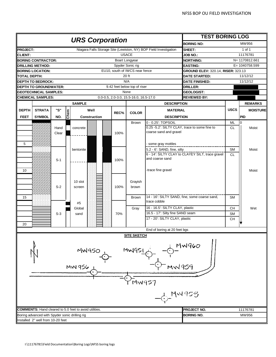|                 |                                                |       |      |                                                               |      |                                        |                                                                     | <b>TEST BORING LOG</b>                           |             |                 |
|-----------------|------------------------------------------------|-------|------|---------------------------------------------------------------|------|----------------------------------------|---------------------------------------------------------------------|--------------------------------------------------|-------------|-----------------|
|                 |                                                |       |      | <b>URS Corporation</b>                                        |      |                                        |                                                                     | <b>BORING NO:</b>                                |             | MW956           |
| <b>PROJECT:</b> |                                                |       |      |                                                               |      |                                        | Niagara Falls Storage Site (Lewiston, NY) BOP Field Investigation   | SHEET:                                           |             | 1 of 1          |
| <b>CLIENT:</b>  |                                                |       |      |                                                               |      | <b>USACE</b>                           |                                                                     | JOB NO.:                                         |             | 11176781        |
|                 | <b>BORING CONTRACTOR:</b>                      |       |      |                                                               |      | <b>Boart Longyear</b>                  |                                                                     | <b>NORTHING:</b>                                 |             | N= 1170812.661  |
|                 | <b>DRILLING METHOD:</b>                        |       |      |                                                               |      | Spyder Sonic rig                       |                                                                     | <b>EASTING:</b>                                  |             | E= 1040758.599  |
|                 | <b>BORING LOCATION:</b>                        |       |      |                                                               |      | EU10, south of IWCS near fence         |                                                                     | GROUND ELEV: 320.14, RISER: 323.13               |             |                 |
| TOTAL DEPTH:    |                                                |       |      |                                                               |      | 20 ft                                  |                                                                     | <b>DATE STARTED:</b>                             |             | 11/12/12        |
|                 | <b>DEPTH TO BEDROCK:</b>                       |       |      |                                                               |      | N/A                                    |                                                                     | <b>DATE FINISHED:</b>                            |             | 11/12/12        |
|                 | <b>DEPTH TO GROUNDWATER:</b>                   |       |      |                                                               |      | 9.42 feet below top of riser           |                                                                     | <b>DRILLER:</b>                                  |             |                 |
|                 | <b>GEOTECHNICAL SAMPLES:</b>                   |       |      |                                                               |      | None                                   |                                                                     | <b>GEOLOGIST:</b>                                |             |                 |
|                 | <b>CHEMICAL SAMPLES:</b>                       |       |      |                                                               |      | 0.0-0.5, 2.0-3.0, 15.5-16.0, 16.5-17.0 |                                                                     | <b>REVIEWED BY:</b>                              |             |                 |
|                 |                                                |       |      | <b>SAMPLE</b>                                                 |      |                                        | <b>DESCRIPTION</b>                                                  |                                                  |             | <b>REMARKS</b>  |
| <b>DEPTH</b>    | <b>STRATA</b>                                  | "S"   |      | Well                                                          |      |                                        | <b>MATERIAL</b>                                                     |                                                  | <b>USCS</b> | <b>MOISTURE</b> |
|                 |                                                |       | Chem |                                                               | REC% | <b>COLOR</b>                           |                                                                     |                                                  |             |                 |
| <b>FEET</b>     | <b>SYMBOL</b>                                  | NO.   |      | <b>Construction</b>                                           |      |                                        | <b>DESCRIPTION</b>                                                  |                                                  |             | <b>PID</b>      |
|                 |                                                |       |      |                                                               |      | Brown                                  | 0 - 0.25': TOPSOIL<br>0.25 -5.2': SILTY CLAY, trace to some fine to |                                                  | <b>ML</b>   | 0               |
|                 |                                                | Hand  |      | concrete                                                      |      |                                        | coarse sand and gravel                                              |                                                  | <b>CL</b>   | Moist           |
|                 |                                                | Clear |      |                                                               | 100% |                                        |                                                                     |                                                  |             |                 |
|                 |                                                |       |      |                                                               |      |                                        |                                                                     |                                                  |             |                 |
| 5               |                                                |       |      |                                                               |      |                                        | - some gray mottles                                                 |                                                  |             |                 |
|                 |                                                |       |      | bentonite                                                     |      |                                        | 5.2 - 6': SAND, fine, silty                                         |                                                  | <b>SM</b>   | Moist           |
|                 |                                                |       |      |                                                               |      |                                        | and coarse sand                                                     | 6 - 14': SILTY CLAY to CLAYEY SILT, trace gravel | <b>CL</b>   |                 |
|                 |                                                | $S-1$ |      |                                                               | 100% |                                        |                                                                     |                                                  |             |                 |
|                 |                                                |       |      |                                                               |      |                                        |                                                                     |                                                  |             |                 |
| 10              |                                                |       |      |                                                               |      |                                        | -trace fine gravel                                                  |                                                  |             | Moist           |
|                 |                                                |       |      |                                                               |      |                                        |                                                                     |                                                  |             |                 |
|                 |                                                |       |      | 10 slot                                                       |      | Grayish                                |                                                                     |                                                  |             |                 |
|                 |                                                | $S-2$ |      | screen                                                        | 100% | brown                                  |                                                                     |                                                  |             |                 |
|                 |                                                |       |      |                                                               |      |                                        |                                                                     |                                                  |             |                 |
| 15              |                                                |       |      |                                                               |      | Brown                                  | trace cobble                                                        | 14 - 16': SILTY SAND, fine, some coarse sand,    | <b>SM</b>   |                 |
|                 |                                                |       |      | #5                                                            |      |                                        |                                                                     |                                                  |             |                 |
|                 |                                                |       |      | Global                                                        |      | Gray                                   | 16 - 16.5': SILTY CLAY, plastic                                     |                                                  | <b>CH</b>   | Wet             |
|                 |                                                | $S-3$ |      | sand                                                          | 70%  |                                        | 16.5 - 17': Silty fine SAND seam                                    |                                                  | <b>SM</b>   |                 |
|                 |                                                |       |      |                                                               |      |                                        | 17 - 20': SILTY CLAY, plastic                                       |                                                  | <b>CH</b>   |                 |
| 20              |                                                |       |      |                                                               |      |                                        |                                                                     |                                                  |             |                 |
|                 |                                                |       |      |                                                               |      |                                        | End of boring at 20 feet bgs                                        |                                                  |             |                 |
|                 |                                                |       |      | <b>MW950</b><br>MW 956                                        |      | <u>SITE SKETCH</u><br>MW95<br>MW957    | MW 959                                                              | 1W960<br>MW953                                   |             |                 |
|                 |                                                |       |      | <b>COMMENTS:</b> Hand cleared to 5.0 feet to avoid utilities. |      |                                        |                                                                     | PROJECT NO.                                      |             | 11176781        |
|                 | Boring advanced with Spyder sonic drilling rig |       |      |                                                               |      |                                        |                                                                     | <b>BORING NO.</b>                                |             | MW956           |
|                 | Installed 2" well from 10-20 feet              |       |      |                                                               |      |                                        |                                                                     |                                                  |             |                 |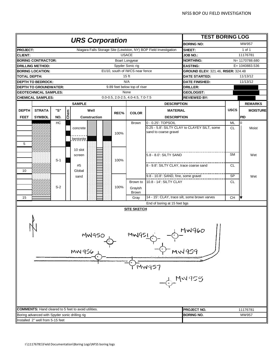|                 |                                                |       |      |                                                             |      |                                    |                                                                   | <b>TEST BORING LOG</b>                       |             |                   |
|-----------------|------------------------------------------------|-------|------|-------------------------------------------------------------|------|------------------------------------|-------------------------------------------------------------------|----------------------------------------------|-------------|-------------------|
|                 |                                                |       |      | <b>URS Corporation</b>                                      |      |                                    |                                                                   | <b>BORING NO:</b>                            |             | MW957             |
| <b>PROJECT:</b> |                                                |       |      |                                                             |      |                                    | Niagara Falls Storage Site (Lewiston, NY) BOP Field Investigation | SHEET:                                       |             | 1 of 1            |
| <b>CLIENT:</b>  |                                                |       |      |                                                             |      | <b>USACE</b>                       |                                                                   | <b>JOB NO.:</b>                              |             | 11176781          |
|                 | <b>BORING CONTRACTOR:</b>                      |       |      |                                                             |      | Boart Longyear                     |                                                                   | <b>NORTHING:</b>                             |             | N= 1170788.680    |
|                 | <b>DRILLING METHOD:</b>                        |       |      |                                                             |      | Spyder Sonic rig                   |                                                                   | <b>EASTING:</b>                              |             | $E = 1040883.536$ |
|                 | <b>BORING LOCATION:</b>                        |       |      |                                                             |      | EU10, south of IWCS near fence     |                                                                   | GROUND ELEV: 321.46, RISER: 324.48           |             |                   |
| TOTAL DEPTH:    |                                                |       |      |                                                             |      | 15 <sub>ft</sub>                   |                                                                   | <b>DATE STARTED:</b>                         |             | 11/13/12          |
|                 | <b>DEPTH TO BEDROCK:</b>                       |       |      |                                                             |      | N/A                                |                                                                   | <b>DATE FINISHED:</b>                        |             | 11/13/12          |
|                 | <b>DEPTH TO GROUNDWATER:</b>                   |       |      |                                                             |      | 9.89 feet below top of riser       |                                                                   | <b>DRILLER:</b>                              |             |                   |
|                 | <b>GEOTECHNICAL SAMPLES:</b>                   |       |      |                                                             |      | None                               |                                                                   | GEOLOGIST:                                   |             |                   |
|                 | <b>CHEMICAL SAMPLES:</b>                       |       |      |                                                             |      | 0.0-0.5, 2.0-2.5, 4.0-4.5, 7.0-7.5 |                                                                   | <b>REVIEWED BY:</b>                          |             |                   |
|                 |                                                |       |      | <b>SAMPLE</b>                                               |      |                                    | <b>DESCRIPTION</b>                                                |                                              |             | <b>REMARKS</b>    |
| <b>DEPTH</b>    | <b>STRATA</b>                                  | "S"   |      | Well                                                        |      |                                    | <b>MATERIAL</b>                                                   |                                              | <b>USCS</b> | <b>MOISTURE</b>   |
| <b>FEET</b>     | <b>SYMBOL</b>                                  | NO.   | Chem |                                                             | REC% | <b>COLOR</b>                       | <b>DESCRIPTION</b>                                                |                                              |             | PID               |
|                 |                                                |       |      | Construction                                                |      |                                    |                                                                   |                                              |             |                   |
|                 |                                                | HC    |      |                                                             |      | <b>Brown</b>                       | 0 - 0.25': TOPSOIL                                                | 0.25 - 5.8': SILTY CLAY to CLAYEY SILT, some | ML          | 0                 |
|                 |                                                |       |      | concrete                                                    |      |                                    | sand to coarse gravel                                             |                                              | <b>CL</b>   | Moist             |
|                 |                                                |       |      |                                                             | 100% |                                    |                                                                   |                                              |             |                   |
|                 |                                                |       |      | bentonite                                                   |      |                                    |                                                                   |                                              |             |                   |
| 5               |                                                |       |      |                                                             |      |                                    |                                                                   |                                              |             |                   |
|                 |                                                |       |      | 10 slot                                                     |      |                                    |                                                                   |                                              |             |                   |
|                 |                                                |       |      | screen                                                      |      |                                    | 5.8 - 8.0': SILTY SAND                                            |                                              | <b>SM</b>   | Wet               |
|                 |                                                | $S-1$ |      |                                                             | 100% |                                    |                                                                   |                                              |             |                   |
|                 |                                                |       |      | #5                                                          |      |                                    | 8 - 9.8': SILTY CLAY, trace coarse sand                           |                                              | <b>CL</b>   |                   |
| 10              |                                                |       |      | Global                                                      |      |                                    |                                                                   |                                              |             |                   |
|                 |                                                |       |      | sand                                                        |      |                                    | 9.8 - 10.8': SAND, fine, some gravel                              |                                              | SP          | Wet               |
|                 |                                                |       |      |                                                             |      | Brown to                           | 10.8 - 14': SILTY CLAY                                            |                                              | <b>CL</b>   |                   |
|                 |                                                | $S-2$ |      |                                                             | 100% | Grayish                            |                                                                   |                                              |             |                   |
|                 |                                                |       |      |                                                             |      | Brown                              |                                                                   |                                              |             |                   |
| 15              |                                                |       |      |                                                             |      | Gray                               | 14 - 15': CLAY, trace silt, some brown varves                     |                                              | <b>CH</b>   |                   |
|                 |                                                |       |      |                                                             |      |                                    | End of boring at 15 feet bgs                                      |                                              |             |                   |
|                 |                                                |       |      |                                                             |      | <b>SITE SKETCH</b>                 |                                                                   |                                              |             |                   |
|                 | ı                                              |       |      | <b>MW950</b><br>MW 956 1                                    |      | $MMLIGC + 1$                       |                                                                   | MW960<br><b>MW959</b>                        |             |                   |
|                 |                                                |       |      |                                                             |      |                                    | mwq57                                                             |                                              |             |                   |
|                 |                                                |       |      |                                                             |      |                                    | $-6 -$ MW958                                                      |                                              |             |                   |
|                 |                                                |       |      | <b>COMMENTS:</b> Hand cleared to 5 feet to avoid utilities. |      |                                    |                                                                   | <b>PROJECT NO.</b>                           |             | 11176781          |
|                 | Boring advanced with Spyder sonic drilling rig |       |      |                                                             |      |                                    |                                                                   | <b>BORING NO.</b>                            |             | MW957             |
|                 | Installed 2" well from 5-15 feet               |       |      |                                                             |      |                                    |                                                                   |                                              |             |                   |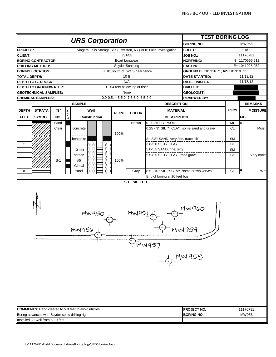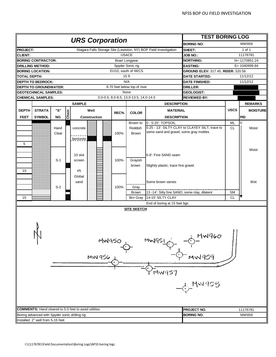| <b>URS Corporation</b><br>MW959<br><b>BORING NO:</b><br>Niagara Falls Storage Site (Lewiston, NY) BOP Field Investigation<br><b>PROJECT:</b><br>SHEET:<br>1 of 1<br><b>USACE</b><br>11176781<br><b>CLIENT:</b><br>JOB NO.:<br><b>NORTHING:</b><br>N= 1170851.24<br><b>BORING CONTRACTOR:</b><br>Boart Longyear<br><b>DRILLING METHOD:</b><br>Spyder Sonic rig<br><b>EASTING:</b><br>E= 1040999.84<br>EU10, south of IWCS<br><b>BORING LOCATION:</b><br>GROUND ELEV: 317.45, RISER: 320.56<br><b>TOTAL DEPTH:</b><br>15 <sub>ft</sub><br>11/12/12<br><b>DATE STARTED:</b><br>N/A<br><b>DEPTH TO BEDROCK:</b><br><b>DATE FINISHED:</b><br>11/12/12<br>8.70 feet below top of riser<br><b>DEPTH TO GROUNDWATER:</b><br>DRILLER:<br><b>GEOTECHNICAL SAMPLES:</b><br>None<br><b>GEOLOGIST:</b><br>0.0-0.5, 8.0-8.5, 13.0-13.5, 14.0-14.5<br><b>REVIEWED BY:</b><br><b>CHEMICAL SAMPLES:</b><br><b>SAMPLE</b><br><b>DESCRIPTION</b><br>"S"<br><b>USCS</b><br><b>STRATA</b><br>Well<br><b>DEPTH</b><br><b>MATERIAL</b><br>Chem<br>REC%<br><b>COLOR</b><br><b>FEET</b><br><b>SYMBOL</b><br>NO.<br>Construction<br><b>DESCRIPTION</b><br>PID<br>Brown to<br>0 - 0.25': TOPSOIL<br><b>ML</b><br>0<br>0.25 - 13': SILTY CLAY to CLAYEY SILT, trace to<br><b>CL</b><br>Hand<br>Reddish<br>concrete<br>some sand and gravel, some gray mottles<br>100%<br>Clear<br>Brown<br>bentonite | <b>REMARKS</b><br><b>MOISTURE</b> |
|--------------------------------------------------------------------------------------------------------------------------------------------------------------------------------------------------------------------------------------------------------------------------------------------------------------------------------------------------------------------------------------------------------------------------------------------------------------------------------------------------------------------------------------------------------------------------------------------------------------------------------------------------------------------------------------------------------------------------------------------------------------------------------------------------------------------------------------------------------------------------------------------------------------------------------------------------------------------------------------------------------------------------------------------------------------------------------------------------------------------------------------------------------------------------------------------------------------------------------------------------------------------------------------------------------------------------------------------------------------------------|-----------------------------------|
|                                                                                                                                                                                                                                                                                                                                                                                                                                                                                                                                                                                                                                                                                                                                                                                                                                                                                                                                                                                                                                                                                                                                                                                                                                                                                                                                                                          |                                   |
|                                                                                                                                                                                                                                                                                                                                                                                                                                                                                                                                                                                                                                                                                                                                                                                                                                                                                                                                                                                                                                                                                                                                                                                                                                                                                                                                                                          |                                   |
|                                                                                                                                                                                                                                                                                                                                                                                                                                                                                                                                                                                                                                                                                                                                                                                                                                                                                                                                                                                                                                                                                                                                                                                                                                                                                                                                                                          |                                   |
|                                                                                                                                                                                                                                                                                                                                                                                                                                                                                                                                                                                                                                                                                                                                                                                                                                                                                                                                                                                                                                                                                                                                                                                                                                                                                                                                                                          |                                   |
|                                                                                                                                                                                                                                                                                                                                                                                                                                                                                                                                                                                                                                                                                                                                                                                                                                                                                                                                                                                                                                                                                                                                                                                                                                                                                                                                                                          |                                   |
|                                                                                                                                                                                                                                                                                                                                                                                                                                                                                                                                                                                                                                                                                                                                                                                                                                                                                                                                                                                                                                                                                                                                                                                                                                                                                                                                                                          |                                   |
|                                                                                                                                                                                                                                                                                                                                                                                                                                                                                                                                                                                                                                                                                                                                                                                                                                                                                                                                                                                                                                                                                                                                                                                                                                                                                                                                                                          |                                   |
|                                                                                                                                                                                                                                                                                                                                                                                                                                                                                                                                                                                                                                                                                                                                                                                                                                                                                                                                                                                                                                                                                                                                                                                                                                                                                                                                                                          |                                   |
|                                                                                                                                                                                                                                                                                                                                                                                                                                                                                                                                                                                                                                                                                                                                                                                                                                                                                                                                                                                                                                                                                                                                                                                                                                                                                                                                                                          |                                   |
|                                                                                                                                                                                                                                                                                                                                                                                                                                                                                                                                                                                                                                                                                                                                                                                                                                                                                                                                                                                                                                                                                                                                                                                                                                                                                                                                                                          |                                   |
|                                                                                                                                                                                                                                                                                                                                                                                                                                                                                                                                                                                                                                                                                                                                                                                                                                                                                                                                                                                                                                                                                                                                                                                                                                                                                                                                                                          |                                   |
|                                                                                                                                                                                                                                                                                                                                                                                                                                                                                                                                                                                                                                                                                                                                                                                                                                                                                                                                                                                                                                                                                                                                                                                                                                                                                                                                                                          |                                   |
|                                                                                                                                                                                                                                                                                                                                                                                                                                                                                                                                                                                                                                                                                                                                                                                                                                                                                                                                                                                                                                                                                                                                                                                                                                                                                                                                                                          |                                   |
|                                                                                                                                                                                                                                                                                                                                                                                                                                                                                                                                                                                                                                                                                                                                                                                                                                                                                                                                                                                                                                                                                                                                                                                                                                                                                                                                                                          |                                   |
|                                                                                                                                                                                                                                                                                                                                                                                                                                                                                                                                                                                                                                                                                                                                                                                                                                                                                                                                                                                                                                                                                                                                                                                                                                                                                                                                                                          |                                   |
|                                                                                                                                                                                                                                                                                                                                                                                                                                                                                                                                                                                                                                                                                                                                                                                                                                                                                                                                                                                                                                                                                                                                                                                                                                                                                                                                                                          |                                   |
|                                                                                                                                                                                                                                                                                                                                                                                                                                                                                                                                                                                                                                                                                                                                                                                                                                                                                                                                                                                                                                                                                                                                                                                                                                                                                                                                                                          | Moist                             |
|                                                                                                                                                                                                                                                                                                                                                                                                                                                                                                                                                                                                                                                                                                                                                                                                                                                                                                                                                                                                                                                                                                                                                                                                                                                                                                                                                                          |                                   |
|                                                                                                                                                                                                                                                                                                                                                                                                                                                                                                                                                                                                                                                                                                                                                                                                                                                                                                                                                                                                                                                                                                                                                                                                                                                                                                                                                                          |                                   |
| 5                                                                                                                                                                                                                                                                                                                                                                                                                                                                                                                                                                                                                                                                                                                                                                                                                                                                                                                                                                                                                                                                                                                                                                                                                                                                                                                                                                        |                                   |
|                                                                                                                                                                                                                                                                                                                                                                                                                                                                                                                                                                                                                                                                                                                                                                                                                                                                                                                                                                                                                                                                                                                                                                                                                                                                                                                                                                          | Moist                             |
| 6.8': Fine SAND seam<br>10 slot                                                                                                                                                                                                                                                                                                                                                                                                                                                                                                                                                                                                                                                                                                                                                                                                                                                                                                                                                                                                                                                                                                                                                                                                                                                                                                                                          |                                   |
| $S-1$<br>100%<br>Grayish<br>screen                                                                                                                                                                                                                                                                                                                                                                                                                                                                                                                                                                                                                                                                                                                                                                                                                                                                                                                                                                                                                                                                                                                                                                                                                                                                                                                                       |                                   |
| brown<br>Slightly plastic, trace fine gravel                                                                                                                                                                                                                                                                                                                                                                                                                                                                                                                                                                                                                                                                                                                                                                                                                                                                                                                                                                                                                                                                                                                                                                                                                                                                                                                             |                                   |
| 10<br>#5                                                                                                                                                                                                                                                                                                                                                                                                                                                                                                                                                                                                                                                                                                                                                                                                                                                                                                                                                                                                                                                                                                                                                                                                                                                                                                                                                                 |                                   |
| Global                                                                                                                                                                                                                                                                                                                                                                                                                                                                                                                                                                                                                                                                                                                                                                                                                                                                                                                                                                                                                                                                                                                                                                                                                                                                                                                                                                   |                                   |
| sand<br>Some brown varves                                                                                                                                                                                                                                                                                                                                                                                                                                                                                                                                                                                                                                                                                                                                                                                                                                                                                                                                                                                                                                                                                                                                                                                                                                                                                                                                                | Wet                               |
| $S-2$<br>100%<br>Gray                                                                                                                                                                                                                                                                                                                                                                                                                                                                                                                                                                                                                                                                                                                                                                                                                                                                                                                                                                                                                                                                                                                                                                                                                                                                                                                                                    |                                   |
| 13 -14': Silty fine SAND, some clay, dilatent<br><b>SM</b><br><b>Brown</b>                                                                                                                                                                                                                                                                                                                                                                                                                                                                                                                                                                                                                                                                                                                                                                                                                                                                                                                                                                                                                                                                                                                                                                                                                                                                                               |                                   |
| 15<br>14-15' SILTY CLAY<br><b>CL</b><br><b>Brn Gray</b>                                                                                                                                                                                                                                                                                                                                                                                                                                                                                                                                                                                                                                                                                                                                                                                                                                                                                                                                                                                                                                                                                                                                                                                                                                                                                                                  |                                   |
| End of boring at 15 feet bgs                                                                                                                                                                                                                                                                                                                                                                                                                                                                                                                                                                                                                                                                                                                                                                                                                                                                                                                                                                                                                                                                                                                                                                                                                                                                                                                                             |                                   |
| <b>SITE SKETCH</b>                                                                                                                                                                                                                                                                                                                                                                                                                                                                                                                                                                                                                                                                                                                                                                                                                                                                                                                                                                                                                                                                                                                                                                                                                                                                                                                                                       |                                   |
| MNG60<br>1 N<br>MW950<br>MW99<br>MW 956<br><b>MW959</b><br>ัพพฯร7<br>$-6 - Mw953$                                                                                                                                                                                                                                                                                                                                                                                                                                                                                                                                                                                                                                                                                                                                                                                                                                                                                                                                                                                                                                                                                                                                                                                                                                                                                        |                                   |
| <b>COMMENTS:</b> Hand cleared to 5.0 feet to avoid utilities.<br><b>PROJECT NO.</b><br>11176781                                                                                                                                                                                                                                                                                                                                                                                                                                                                                                                                                                                                                                                                                                                                                                                                                                                                                                                                                                                                                                                                                                                                                                                                                                                                          |                                   |
| <b>BORING NO.</b><br>MW959<br>Boring advanced with Spyder sonic drilling rig                                                                                                                                                                                                                                                                                                                                                                                                                                                                                                                                                                                                                                                                                                                                                                                                                                                                                                                                                                                                                                                                                                                                                                                                                                                                                             |                                   |
| Installed 2" well from 5-15 feet                                                                                                                                                                                                                                                                                                                                                                                                                                                                                                                                                                                                                                                                                                                                                                                                                                                                                                                                                                                                                                                                                                                                                                                                                                                                                                                                         |                                   |